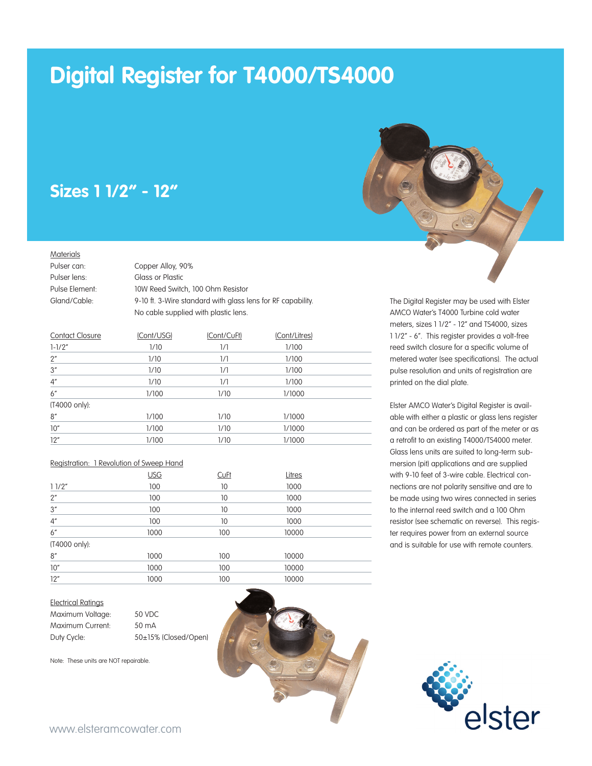# **Digital Register for T4000/TS4000**

## **Sizes 1 1/2" - 12"**

#### **Materials**

| Pulser can:    | Copper Alloy, 90%                                           |
|----------------|-------------------------------------------------------------|
| Pulser lens:   | Glass or Plastic                                            |
| Pulse Element: | 10W Reed Switch, 100 Ohm Resistor                           |
| Gland/Cable:   | 9-10 ft. 3-Wire standard with glass lens for RF capability. |
|                | No cable supplied with plastic lens.                        |

| <b>Contact Closure</b> | (Cont/USG) | (Cont/CuFt)   | (Cont/Litres) |  |
|------------------------|------------|---------------|---------------|--|
| $1 - 1/2"$             | 1/10       | 1/1           | 1/100         |  |
| 2"                     | 1/10       | 1/1           | 1/100         |  |
| 3''                    | 1/10       | $\frac{1}{1}$ | 1/100         |  |
| $4^{\prime\prime}$     | 1/10       | 1/1           | 1/100         |  |
| 6''                    | 1/100      | 1/10          | 1/1000        |  |
| (T4000 only):          |            |               |               |  |
| 8''                    | 1/100      | 1/10          | 1/1000        |  |
| 10"                    | 1/100      | 1/10          | 1/1000        |  |
| 12"                    | 1/100      | 1/10          | 1/1000        |  |

#### Registration: 1 Revolution of Sweep Hand

|               | USG  | <b>CuFt</b> | Litres |  |
|---------------|------|-------------|--------|--|
| 11/2"         | 100  | 10          | 1000   |  |
| 2"            | 100  | 10          | 1000   |  |
| 3''           | 100  | 10          | 1000   |  |
| 4''           | 100  | 10          | 1000   |  |
| 6''           | 1000 | 100         | 10000  |  |
| (T4000 only): |      |             |        |  |
| 8''           | 1000 | 100         | 10000  |  |
| 10"           | 1000 | 100         | 10000  |  |
| 12"           | 1000 | 100         | 10000  |  |

#### Electrical Ratings

| Maximum Voltage: | 50 VDC      |
|------------------|-------------|
| Maximum Current: | 50 mA       |
| Duty Cycle:      | 50±15% (Clc |

Note: These units are NOT repairable.





The Digital Register may be used with Elster AMCO Water's T4000 Turbine cold water meters, sizes 1 1/2" - 12" and TS4000, sizes 1 1/2" - 6". This register provides a volt-free reed switch closure for a specific volume of metered water (see specifications). The actual pulse resolution and units of registration are printed on the dial plate.

Elster AMCO Water's Digital Register is available with either a plastic or glass lens register and can be ordered as part of the meter or as a retrofit to an existing T4000/TS4000 meter. Glass lens units are suited to long-term submersion (pit) applications and are supplied with 9-10 feet of 3-wire cable. Electrical connections are not polarity sensitive and are to be made using two wires connected in series to the internal reed switch and a 100 Ohm resistor (see schematic on reverse). This register requires power from an external source and is suitable for use with remote counters.